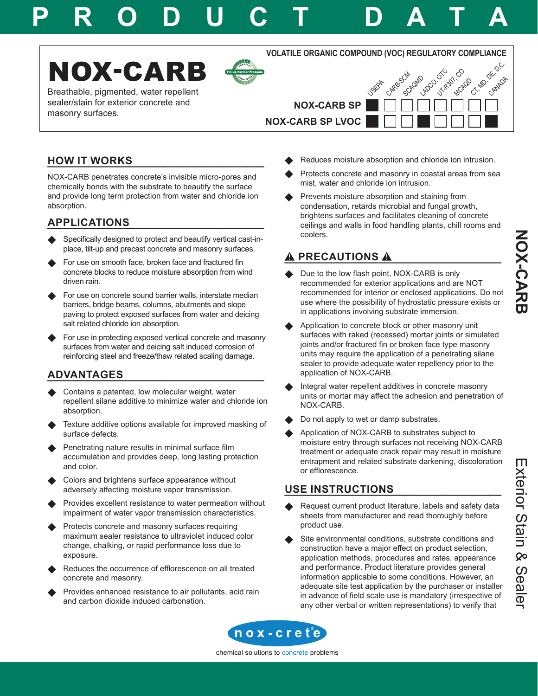# **P R O D U C T D A T A**





Breathable, pigmented, water repellent sealer/stain for exterior concrete and masonry surfaces.

**VOLATILE ORGANIC COMPOUND (VOC) REGULATORY COMPLIANCE**

CARR<sup>GCM</sup>

Scholand Co. OTC

UTR<sub>2071</sub>, CO **MCAQD** 

CT, MD, ORNADA

**USEP** 



**NOX-CARB SP LVOC**

# **\_\_\_\_\_\_\_\_\_\_\_\_\_\_\_\_\_\_\_\_\_\_\_\_\_\_\_\_\_\_\_\_\_\_\_\_\_ HOW IT WORKS**

NOX-CARB penetrates concrete's invisible micro-pores and chemically bonds with the substrate to beautify the surface and provide long term protection from water and chloride ion absorption.

# **\_\_\_\_\_\_\_\_\_\_\_\_\_\_\_\_\_\_\_\_\_\_\_\_\_\_\_\_\_\_\_\_\_\_\_\_\_ APPLICATIONS**

- Specifically designed to protect and beautify vertical cast-inplace, tilt-up and precast concrete and masonry surfaces.
- For use on smooth face, broken face and fractured fin concrete blocks to reduce moisture absorption from wind driven rain.
- For use on concrete sound barrier walls, interstate median barriers, bridge beams, columns, abutments and slope paving to protect exposed surfaces from water and deicing salt related chloride ion absorption.
- For use in protecting exposed vertical concrete and masonry surfaces from water and deicing salt induced corrosion of reinforcing steel and freeze/thaw related scaling damage.

# **\_\_\_\_\_\_\_\_\_\_\_\_\_\_\_\_\_\_\_\_\_\_\_\_\_\_\_\_\_\_\_\_\_\_\_\_\_ ADVANTAGES**

- Contains a patented, low molecular weight, water repellent silane additive to minimize water and chloride ion absorption.
- Texture additive options available for improved masking of surface defects.
- Penetrating nature results in minimal surface film accumulation and provides deep, long lasting protection and color.
- Colors and brightens surface appearance without adversely affecting moisture vapor transmission.
- Provides excellent resistance to water permeation without impairment of water vapor transmission characteristics.
- Protects concrete and masonry surfaces requiring maximum sealer resistance to ultraviolet induced color change, chalking, or rapid performance loss due to exposure.
- Reduces the occurrence of efflorescence on all treated concrete and masonry.
- Provides enhanced resistance to air pollutants, acid rain and carbon dioxide induced carbonation.
- Reduces moisture absorption and chloride ion intrusion.
- Protects concrete and masonry in coastal areas from sea mist, water and chloride ion intrusion.
- Prevents moisture absorption and staining from condensation, retards microbial and fungal growth, brightens surfaces and facilitates cleaning of concrete ceilings and walls in food handling plants, chill rooms and coolers.

# **\_\_\_\_\_\_\_\_\_\_\_\_\_\_\_\_\_\_\_\_\_\_\_\_\_\_\_\_\_\_\_\_\_\_\_\_\_ PRECAUTIONS**

- Due to the low flash point, NOX-CARB is only recommended for exterior applications and are NOT recommended for interior or enclosed applications. Do not use where the possibility of hydrostatic pressure exists or in applications involving substrate immersion.
- Application to concrete block or other masonry unit surfaces with raked (recessed) mortar joints or simulated joints and/or fractured fin or broken face type masonry units may require the application of a penetrating silane sealer to provide adequate water repellency prior to the application of NOX-CARB.
- Integral water repellent additives in concrete masonry units or mortar may affect the adhesion and penetration of NOX-CARB.
- Do not apply to wet or damp substrates.
- Application of NOX-CARB to substrates subject to moisture entry through surfaces not receiving NOX-CARB treatment or adequate crack repair may result in moisture entrapment and related substrate darkening, discoloration or efflorescence.

## **\_\_\_\_\_\_\_\_\_\_\_\_\_\_\_\_\_\_\_\_\_\_\_\_\_\_\_\_\_\_\_\_\_\_\_\_\_ USE INSTRUCTIONS**

- Request current product literature, labels and safety data sheets from manufacturer and read thoroughly before product use.
- Site environmental conditions, substrate conditions and construction have a major effect on product selection, application methods, procedures and rates, appearance and performance. Product literature provides general information applicable to some conditions. However, an adequate site test application by the purchaser or installer in advance of field scale use is mandatory (irrespective of any other verbal or written representations) to verify that

**NOX-CARB** 



chemical solutions to concrete problems